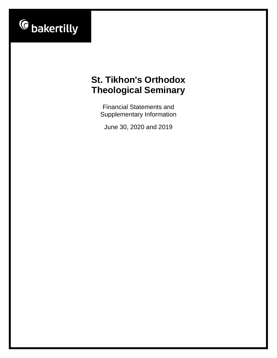

Financial Statements and Supplementary Information

June 30, 2020 and 2019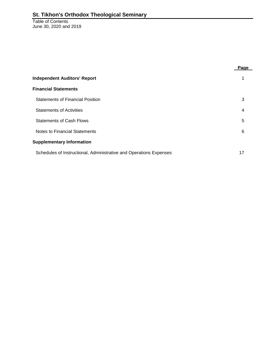Table of Contents June 30, 2020 and 2019

|                                                                    | Page |
|--------------------------------------------------------------------|------|
| <b>Independent Auditors' Report</b>                                |      |
| <b>Financial Statements</b>                                        |      |
| <b>Statements of Financial Position</b>                            | 3    |
| <b>Statements of Activities</b>                                    | 4    |
| <b>Statements of Cash Flows</b>                                    | 5    |
| Notes to Financial Statements                                      | 6    |
| <b>Supplementary Information</b>                                   |      |
| Schedules of Instructional, Administrative and Operations Expenses | 17   |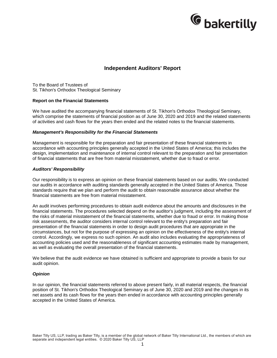

## **Independent Auditors' Report**

To the Board of Trustees of St. Tikhon's Orthodox Theological Seminary

#### **Report on the Financial Statements**

We have audited the accompanying financial statements of St. Tikhon's Orthodox Theological Seminary, which comprise the statements of financial position as of June 30, 2020 and 2019 and the related statements of activities and cash flows for the years then ended and the related notes to the financial statements.

#### *Management's Responsibility for the Financial Statements*

Management is responsible for the preparation and fair presentation of these financial statements in accordance with accounting principles generally accepted in the United States of America; this includes the design, implementation and maintenance of internal control relevant to the preparation and fair presentation of financial statements that are free from material misstatement, whether due to fraud or error.

#### *Auditors' Responsibility*

Our responsibility is to express an opinion on these financial statements based on our audits. We conducted our audits in accordance with auditing standards generally accepted in the United States of America. Those standards require that we plan and perform the audit to obtain reasonable assurance about whether the financial statements are free from material misstatement.

An audit involves performing procedures to obtain audit evidence about the amounts and disclosures in the financial statements. The procedures selected depend on the auditor's judgment, including the assessment of the risks of material misstatement of the financial statements, whether due to fraud or error. In making those risk assessments, the auditor considers internal control relevant to the entity's preparation and fair presentation of the financial statements in order to design audit procedures that are appropriate in the circumstances, but not for the purpose of expressing an opinion on the effectiveness of the entity's internal control. Accordingly, we express no such opinion. An audit also includes evaluating the appropriateness of accounting policies used and the reasonableness of significant accounting estimates made by management, as well as evaluating the overall presentation of the financial statements.

We believe that the audit evidence we have obtained is sufficient and appropriate to provide a basis for our audit opinion.

#### *Opinion*

In our opinion, the financial statements referred to above present fairly, in all material respects, the financial position of St. Tikhon's Orthodox Theological Seminary as of June 30, 2020 and 2019 and the changes in its net assets and its cash flows for the years then ended in accordance with accounting principles generally accepted in the United States of America.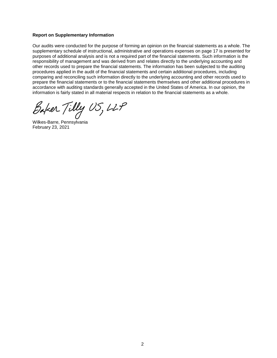#### **Report on Supplementary Information**

Our audits were conducted for the purpose of forming an opinion on the financial statements as a whole. The supplementary schedule of instructional, administrative and operations expenses on page 17 is presented for purposes of additional analysis and is not a required part of the financial statements. Such information is the responsibility of management and was derived from and relates directly to the underlying accounting and other records used to prepare the financial statements. The information has been subjected to the auditing procedures applied in the audit of the financial statements and certain additional procedures, including comparing and reconciling such information directly to the underlying accounting and other records used to prepare the financial statements or to the financial statements themselves and other additional procedures in accordance with auditing standards generally accepted in the United States of America. In our opinion, the information is fairly stated in all material respects in relation to the financial statements as a whole.

Baker Tilly US, LLP

Wilkes-Barre, Pennsylvania February 23, 2021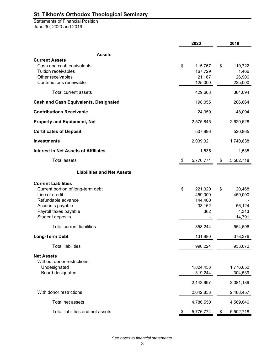Statements of Financial Position June 30, 2020 and 2019

|                                                                                                                                                                          | 2020                                                 | 2019                                                 |
|--------------------------------------------------------------------------------------------------------------------------------------------------------------------------|------------------------------------------------------|------------------------------------------------------|
| <b>Assets</b>                                                                                                                                                            |                                                      |                                                      |
| <b>Current Assets</b><br>Cash and cash equivalents<br><b>Tuition receivables</b><br>Other receivables<br>Contributions receivable                                        | \$<br>115,767<br>167,729<br>21,167<br>125,000        | \$<br>110,722<br>1,466<br>26,906<br>225,000          |
| <b>Total current assets</b>                                                                                                                                              | 429,663                                              | 364,094                                              |
| <b>Cash and Cash Equivalents, Designated</b>                                                                                                                             | 198,055                                              | 206,664                                              |
| <b>Contributions Receivable</b>                                                                                                                                          | 24,359                                               | 48,094                                               |
| <b>Property and Equipment, Net</b>                                                                                                                                       | 2,575,845                                            | 2,620,628                                            |
| <b>Certificates of Deposit</b>                                                                                                                                           | 507,996                                              | 520,865                                              |
| <b>Investments</b>                                                                                                                                                       | 2,039,321                                            | 1,740,838                                            |
| <b>Interest in Net Assets of Affiliates</b>                                                                                                                              | 1,535                                                | 1,535                                                |
| <b>Total assets</b>                                                                                                                                                      | \$<br>5,776,774                                      | \$<br>5,502,718                                      |
| <b>Liabilities and Net Assets</b>                                                                                                                                        |                                                      |                                                      |
| <b>Current Liabilities</b><br>Current portion of long-term debt<br>Line of credit<br>Refundable advance<br>Accounts payable<br>Payroll taxes payable<br>Student deposits | \$<br>221,320<br>459,000<br>144,400<br>33,162<br>362 | \$<br>20,468<br>459,000<br>56,124<br>4,313<br>14,791 |
| <b>Total current liabilities</b>                                                                                                                                         | 858,244                                              | 554,696                                              |
| <b>Long-Term Debt</b>                                                                                                                                                    | 131,980                                              | 378,376                                              |
| <b>Total liabilities</b>                                                                                                                                                 | 990,224                                              | 933,072                                              |
| <b>Net Assets</b><br>Without donor restrictions:<br>Undesignated<br>Board designated                                                                                     | 1,824,453<br>319,244<br>2,143,697                    | 1,776,650<br>304,539<br>2,081,189                    |
| With donor restrictions                                                                                                                                                  | 2,642,853                                            | 2,488,457                                            |
| Total net assets                                                                                                                                                         | 4,786,550                                            | 4,569,646                                            |
| Total liabilities and net assets                                                                                                                                         | \$<br>5,776,774                                      | \$<br>5,502,718                                      |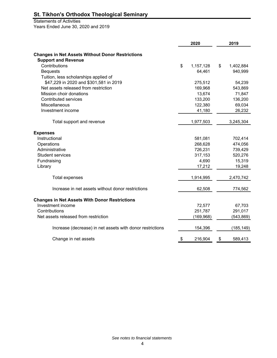## Statements of Activities

Years Ended June 30, 2020 and 2019

|                                                           | 2020            | 2019 |            |
|-----------------------------------------------------------|-----------------|------|------------|
| <b>Changes in Net Assets Without Donor Restrictions</b>   |                 |      |            |
| <b>Support and Revenue</b>                                |                 |      |            |
| Contributions                                             | \$<br>1,157,128 | \$   | 1,402,884  |
| <b>Bequests</b>                                           | 64,461          |      | 940,999    |
| Tuition, less scholarships applied of                     |                 |      |            |
| \$47,229 in 2020 and \$301,581 in 2019                    | 275,512         |      | 54,239     |
| Net assets released from restriction                      | 169,968         |      | 543,869    |
| Mission choir donations                                   | 13,674          |      | 71,847     |
| <b>Contributed services</b>                               | 133,200         |      | 136,200    |
| Miscellaneous                                             | 122,380         |      | 69,034     |
| Investment income                                         | 41,180          |      | 26,232     |
| Total support and revenue                                 | 1,977,503       |      | 3,245,304  |
| <b>Expenses</b>                                           |                 |      |            |
| Instructional                                             | 581,081         |      | 702,414    |
| Operations                                                | 268,628         |      | 474,056    |
| Administrative                                            | 726,231         |      | 739,429    |
| <b>Student services</b>                                   | 317,153         |      | 520,276    |
| Fundraising                                               | 4,690           |      | 15,319     |
| Library                                                   | 17,212          |      | 19,248     |
| Total expenses                                            | 1,914,995       |      | 2,470,742  |
| Increase in net assets without donor restrictions         | 62,508          |      | 774,562    |
| <b>Changes in Net Assets With Donor Restrictions</b>      |                 |      |            |
| Investment income                                         | 72,577          |      | 67,703     |
| Contributions                                             | 251,787         |      | 291,017    |
| Net assets released from restriction                      | (169, 968)      |      | (543, 869) |
| Increase (decrease) in net assets with donor restrictions | 154,396         |      | (185, 149) |
| Change in net assets                                      | \$<br>216,904   | \$   | 589,413    |

*See notes to financial statements*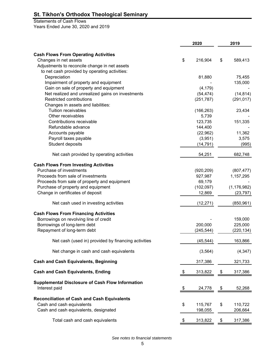### Statements of Cash Flows

Years Ended June 30, 2020 and 2019

|                                                                              |    | 2020             | 2019          |
|------------------------------------------------------------------------------|----|------------------|---------------|
|                                                                              |    |                  |               |
| <b>Cash Flows From Operating Activities</b>                                  |    |                  |               |
| Changes in net assets                                                        | \$ | 216,904          | \$<br>589,413 |
| Adjustments to reconcile change in net assets                                |    |                  |               |
| to net cash provided by operating activities:                                |    |                  |               |
| Depreciation                                                                 |    | 81,880           | 75,455        |
| Impairment of property and equipment                                         |    |                  | 135,000       |
| Gain on sale of property and equipment                                       |    | (4, 179)         |               |
| Net realized and unrealized gains on investments<br>Restricted contributions |    | (54, 474)        | (14, 814)     |
|                                                                              |    | (251, 787)       | (291, 017)    |
| Changes in assets and liabilities:<br>Tuition receivables                    |    |                  |               |
| Other receivables                                                            |    | (166, 263)       | 23,434        |
| Contributions receivable                                                     |    | 5,739<br>123,735 |               |
| Refundable advance                                                           |    |                  | 151,335       |
|                                                                              |    | 144,400          |               |
| Accounts payable<br>Payroll taxes payable                                    |    | (22, 962)        | 11,362        |
|                                                                              |    | (3,951)          | 3,575         |
| Student deposits                                                             |    | (14, 791)        | (995)         |
| Net cash provided by operating activities                                    |    | 54,251           | 682,748       |
| <b>Cash Flows From Investing Activities</b>                                  |    |                  |               |
| Purchase of investments                                                      |    | (920, 209)       | (807, 477)    |
| Proceeds from sale of investments                                            |    | 927,987          | 1,157,295     |
| Proceeds from sale of property and equipment                                 |    | 69,179           |               |
| Purchase of property and equipment                                           |    | (102, 097)       | (1, 176, 982) |
| Change in certificates of deposit                                            |    | 12,869           | (23, 797)     |
| Net cash used in investing activities                                        |    | (12, 271)        | (850, 961)    |
| <b>Cash Flows From Financing Activities</b>                                  |    |                  |               |
| Borrowings on revolving line of credit                                       |    |                  | 159,000       |
| Borrowings of long-term debt                                                 |    | 200,000          | 225,000       |
| Repayment of long-term debt                                                  |    | (245, 544)       | (220, 134)    |
|                                                                              |    |                  |               |
| Net cash (used in) provided by financing activities                          |    | (45, 544)        | 163,866       |
| Net change in cash and cash equivalents                                      |    | (3, 564)         | (4, 347)      |
| <b>Cash and Cash Equivalents, Beginning</b>                                  |    | 317,386          | 321,733       |
| <b>Cash and Cash Equivalents, Ending</b>                                     | \$ | 313,822          | \$<br>317,386 |
| <b>Supplemental Disclosure of Cash Flow Information</b>                      |    |                  |               |
| Interest paid                                                                | \$ | 24,778           | \$<br>52,268  |
| <b>Reconciliation of Cash and Cash Equivalents</b>                           |    |                  |               |
| Cash and cash equivalents                                                    | \$ | 115,767          | \$<br>110,722 |
| Cash and cash equivalents, designated                                        |    | 198,055          | 206,664       |
|                                                                              |    |                  |               |
| Total cash and cash equivalents                                              | P. | 313,822          | \$<br>317,386 |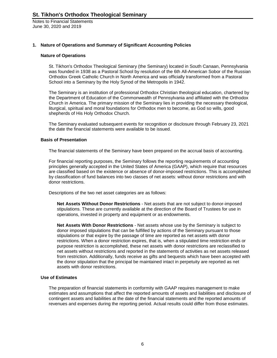#### **1. Nature of Operations and Summary of Significant Accounting Policies**

#### **Nature of Operations**

St. Tikhon's Orthodox Theological Seminary (the Seminary) located in South Canaan, Pennsylvania was founded in 1938 as a Pastoral School by resolution of the 6th All-American Sobor of the Russian Orthodox Greek Catholic Church in North America and was officially transformed from a Pastoral School into a Seminary by the Holy Synod of the Metropolis in 1942.

The Seminary is an institution of professional Orthodox Christian theological education, chartered by the Department of Education of the Commonwealth of Pennsylvania and affiliated with the Orthodox Church in America. The primary mission of the Seminary lies in providing the necessary theological, liturgical, spiritual and moral foundations for Orthodox men to become, as God so wills, good shepherds of His Holy Orthodox Church.

The Seminary evaluated subsequent events for recognition or disclosure through February 23, 2021 the date the financial statements were available to be issued.

#### **Basis of Presentation**

The financial statements of the Seminary have been prepared on the accrual basis of accounting.

For financial reporting purposes, the Seminary follows the reporting requirements of accounting principles generally accepted in the United States of America (GAAP), which require that resources are classified based on the existence or absence of donor-imposed restrictions. This is accomplished by classification of fund balances into two classes of net assets: without donor restrictions and with donor restrictions.

Descriptions of the two net asset categories are as follows:

**Net Assets Without Donor Restrictions** - Net assets that are not subject to donor-imposed stipulations. These are currently available at the direction of the Board of Trustees for use in operations, invested in property and equipment or as endowments.

**Net Assets With Donor Restrictions** - Net assets whose use by the Seminary is subject to donor imposed stipulations that can be fulfilled by actions of the Seminary pursuant to those stipulations or that expire by the passage of time are reported as net assets with donor restrictions. When a donor restriction expires, that is, when a stipulated time restriction ends or purpose restriction is accomplished, these net assets with donor restrictions are reclassified to net assets without restrictions and reported in the statements of activities as net assets released from restriction. Additionally, funds receive as gifts and bequests which have been accepted with the donor stipulation that the principal be maintained intact in perpetuity are reported as net assets with donor restrictions.

#### **Use of Estimates**

The preparation of financial statements in conformity with GAAP requires management to make estimates and assumptions that affect the reported amounts of assets and liabilities and disclosure of contingent assets and liabilities at the date of the financial statements and the reported amounts of revenues and expenses during the reporting period. Actual results could differ from those estimates.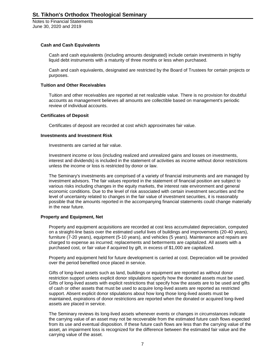#### **Cash and Cash Equivalents**

Cash and cash equivalents (including amounts designated) include certain investments in highly liquid debt instruments with a maturity of three months or less when purchased.

Cash and cash equivalents, designated are restricted by the Board of Trustees for certain projects or purposes.

#### **Tuition and Other Receivables**

Tuition and other receivables are reported at net realizable value. There is no provision for doubtful accounts as management believes all amounts are collectible based on management's periodic review of individual accounts.

#### **Certificates of Deposit**

Certificates of deposit are recorded at cost which approximates fair value.

#### **Investments and Investment Risk**

Investments are carried at fair value.

Investment income or loss (including realized and unrealized gains and losses on investments, interest and dividends) is included in the statement of activities as income without donor restrictions unless the income or loss is restricted by donor or law.

The Seminary's investments are comprised of a variety of financial instruments and are managed by investment advisors. The fair values reported in the statement of financial position are subject to various risks including changes in the equity markets, the interest rate environment and general economic conditions. Due to the level of risk associated with certain investment securities and the level of uncertainty related to changes in the fair value of investment securities, it is reasonably possible that the amounts reported in the accompanying financial statements could change materially in the near future.

#### **Property and Equipment, Net**

Property and equipment acquisitions are recorded at cost less accumulated depreciation, computed on a straight-line basis over the estimated useful lives of buildings and improvements (20-40 years), furniture (7-20 years), equipment (5-10 years), and vehicles (5 years). Maintenance and repairs are charged to expense as incurred; replacements and betterments are capitalized. All assets with a purchased cost, or fair value if acquired by gift, in excess of \$1,000 are capitalized.

Property and equipment held for future development is carried at cost. Depreciation will be provided over the period benefited once placed in service.

Gifts of long-lived assets such as land, buildings or equipment are reported as without donor restriction support unless explicit donor stipulations specify how the donated assets must be used. Gifts of long-lived assets with explicit restrictions that specify how the assets are to be used and gifts of cash or other assets that must be used to acquire long-lived assets are reported as restricted support. Absent explicit donor stipulations about how long those long-lived assets must be maintained, expirations of donor restrictions are reported when the donated or acquired long-lived assets are placed in service.

The Seminary reviews its long-lived assets whenever events or changes in circumstances indicate the carrying value of an asset may not be recoverable from the estimated future cash flows expected from its use and eventual disposition. If these future cash flows are less than the carrying value of the asset, an impairment loss is recognized for the difference between the estimated fair value and the carrying value of the asset.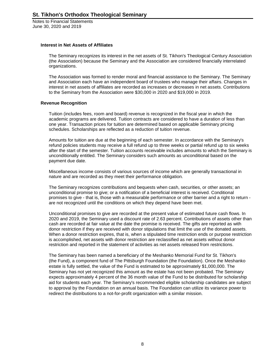#### **Interest in Net Assets of Affiliates**

The Seminary recognizes its interest in the net assets of St. Tikhon's Theological Century Association (the Association) because the Seminary and the Association are considered financially interrelated organizations.

The Association was formed to render moral and financial assistance to the Seminary. The Seminary and Association each have an independent board of trustees who manage their affairs. Changes in interest in net assets of affiliates are recorded as increases or decreases in net assets. Contributions to the Seminary from the Association were \$30,000 in 2020 and \$19,000 in 2019.

#### **Revenue Recognition**

Tuition (includes fees, room and board) revenue is recognized in the fiscal year in which the academic programs are delivered. Tuition contracts are considered to have a duration of less than one year. Transaction prices for tuition are determined based on applicable Seminary pricing schedules. Scholarships are reflected as a reduction of tuition revenue.

Amounts for tuition are due at the beginning of each semester. In accordance with the Seminary's refund policies students may receive a full refund up to three weeks or partial refund up to six weeks after the start of the semester. Tuition accounts receivable includes amounts to which the Seminary is unconditionally entitled. The Seminary considers such amounts as unconditional based on the payment due date.

Miscellaneous income consists of various sources of income which are generally transactional in nature and are recorded as they meet their performance obligation.

The Seminary recognizes contributions and bequests when cash, securities, or other assets; an unconditional promise to give; or a notification of a beneficial interest is received. Conditional promises to give - that is, those with a measurable performance or other barrier and a right to return are not recognized until the conditions on which they depend have been met.

Unconditional promises to give are recorded at the present value of estimated future cash flows. In 2020 and 2019, the Seminary used a discount rate of 2.63 percent. Contributions of assets other than cash are recorded at fair value at the date the promise is received. The gifts are reported as with donor restriction if they are received with donor stipulations that limit the use of the donated assets. When a donor restriction expires, that is, when a stipulated time restriction ends or purpose restriction is accomplished, net assets with donor restriction are reclassified as net assets without donor restriction and reported in the statement of activities as net assets released from restrictions.

The Seminary has been named a beneficiary of the Meshanko Memorial Fund for St. Tikhon's (the Fund), a component fund of The Pittsburgh Foundation (the Foundation). Once the Meshanko estate is fully settled, the value of the Fund is estimated to be approximately \$1,000,000. The Seminary has not yet recognized this amount as the estate has not been probated. The Seminary expects approximately 4 percent of the 36 month value of the Fund to be distributed for scholarship aid for students each year. The Seminary's recommended eligible scholarship candidates are subject to approval by the Foundation on an annual basis. The Foundation can utilize its variance power to redirect the distributions to a not-for-profit organization with a similar mission.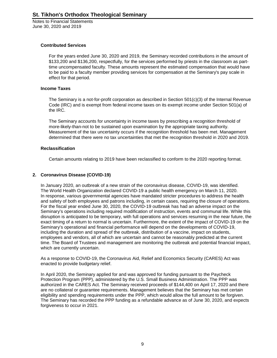#### **Contributed Services**

For the years ended June 30, 2020 and 2019, the Seminary recorded contributions in the amount of \$133,200 and \$136,200, respectfully, for the services performed by priests in the classroom as parttime uncompensated faculty. These amounts represent the estimated compensation that would have to be paid to a faculty member providing services for compensation at the Seminary's pay scale in effect for that period.

#### **Income Taxes**

The Seminary is a not-for-profit corporation as described in Section 501(c)(3) of the Internal Revenue Code (IRC) and is exempt from federal income taxes on its exempt income under Section 501(a) of the IRC.

The Seminary accounts for uncertainty in income taxes by prescribing a recognition threshold of more-likely-than-not to be sustained upon examination by the appropriate taxing authority. Measurement of the tax uncertainty occurs if the recognition threshold has been met. Management determined that there were no tax uncertainties that met the recognition threshold in 2020 and 2019.

#### **Reclassification**

Certain amounts relating to 2019 have been reclassified to conform to the 2020 reporting format.

#### **2. Coronavirus Disease (COVID-19)**

In January 2020, an outbreak of a new strain of the coronavirus disease, COVID-19, was identified. The World Health Organization declared COVID-19 a public health emergency on March 11, 2020. In response, various governmental agencies have mandated stricter procedures to address the health and safety of both employees and patrons including, in certain cases, requiring the closure of operations. For the fiscal year ended June 30, 2020, the COVID-19 outbreak has had an adverse impact on the Seminary's operations including required modification of instruction, events and communal life. While this disruption is anticipated to be temporary, with full operations and services resuming in the near future, the exact timing of a return to normal is uncertain. Furthermore, the extent of the impact of COVID-19 on the Seminary's operational and financial performance will depend on the developments of COVID-19, including the duration and spread of the outbreak, distribution of a vaccine, impact on students, employees and vendors, all of which are uncertain and cannot be reasonably predicted at the current time. The Board of Trustees and management are monitoring the outbreak and potential financial impact, which are currently uncertain.

As a response to COVID-19, the Coronavirus Aid, Relief and Economics Security (CARES) Act was enacted to provide budgetary relief.

In April 2020, the Seminary applied for and was approved for funding pursuant to the Paycheck Protection Program (PPP), administered by the U.S. Small Business Administration. The PPP was authorized in the CARES Act. The Seminary received proceeds of \$144,400 on April 17, 2020 and there are no collateral or guarantee requirements. Management believes that the Seminary has met certain eligibility and spending requirements under the PPP, which would allow the full amount to be forgiven. The Seminary has recorded the PPP funding as a refundable advance as of June 30, 2020, and expects forgiveness to occur in 2021.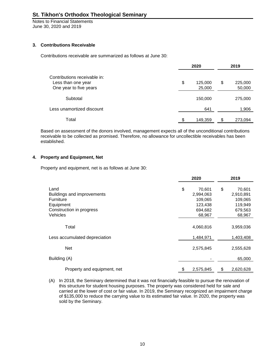Notes to Financial Statements June 30, 2020 and 2019

#### **3. Contributions Receivable**

Contributions receivable are summarized as follows at June 30:

|                                                                              | 2020 |                   | 2019 |                   |
|------------------------------------------------------------------------------|------|-------------------|------|-------------------|
| Contributions receivable in:<br>Less than one year<br>One year to five years |      | 125,000<br>25,000 | \$   | 225,000<br>50,000 |
| Subtotal                                                                     |      | 150,000           |      | 275,000           |
| Less unamortized discount                                                    |      | 641               |      | 1,906             |
| Total                                                                        |      | 149,359           | \$   | 273,094           |

Based on assessment of the donors involved, management expects all of the unconditional contributions receivable to be collected as promised. Therefore, no allowance for uncollectible receivables has been established.

#### **4. Property and Equipment, Net**

Property and equipment, net is as follows at June 30:

|                               | 2020 |           |    | 2019      |  |  |
|-------------------------------|------|-----------|----|-----------|--|--|
| Land                          | \$   | 70,601    | \$ | 70,601    |  |  |
| Buildings and improvements    |      | 2,994,063 |    | 2,910,891 |  |  |
| Furniture                     |      | 109,065   |    | 109,065   |  |  |
| Equipment                     |      | 123,438   |    | 119,949   |  |  |
| Construction in progress      |      | 694,682   |    | 679,563   |  |  |
| Vehicles                      |      | 68,967    |    | 68,967    |  |  |
| Total                         |      | 4,060,816 |    | 3,959,036 |  |  |
| Less accumulated depreciation |      | 1,484,971 |    | 1,403,408 |  |  |
| <b>Net</b>                    |      | 2,575,845 |    | 2,555,628 |  |  |
| Building (A)                  |      |           |    | 65,000    |  |  |
| Property and equipment, net   | \$   | 2,575,845 | \$ | 2,620,628 |  |  |

(A) In 2018, the Seminary determined that it was not financially feasible to pursue the renovation of this structure for student housing purposes. The property was considered held for sale and carried at the lower of cost or fair value. In 2019, the Seminary recognized an impairment charge of \$135,000 to reduce the carrying value to its estimated fair value. In 2020, the property was sold by the Seminary.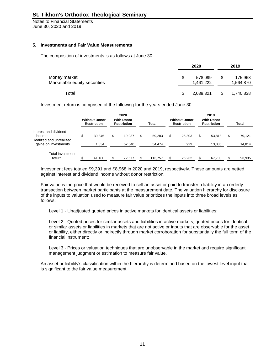Notes to Financial Statements June 30, 2020 and 2019

#### **5. Investments and Fair Value Measurements**

The composition of investments is as follows at June 30:

|                                              |  | 2019                 |   |                      |
|----------------------------------------------|--|----------------------|---|----------------------|
| Money market<br>Marketable equity securities |  | 578.099<br>1,461,222 | S | 175,968<br>1,564,870 |
| Total                                        |  | 2,039,321            |   | 1,740,838            |

Investment return is comprised of the following for the years ended June 30:

|                                                            |    |                                            |    | 2020                                    |              |     |                                            |     | 2019                                    |     |              |
|------------------------------------------------------------|----|--------------------------------------------|----|-----------------------------------------|--------------|-----|--------------------------------------------|-----|-----------------------------------------|-----|--------------|
|                                                            |    | <b>Without Donor</b><br><b>Restriction</b> |    | <b>With Donor</b><br><b>Restriction</b> | Total        |     | <b>Without Donor</b><br><b>Restriction</b> |     | <b>With Donor</b><br><b>Restriction</b> |     | <b>Total</b> |
| Interest and dividend<br>income<br>Realized and unrealized | \$ | 39.346                                     | \$ | 19.937                                  | \$<br>59.283 | \$  | 25,303                                     | \$  | 53.818                                  | \$  | 79.121       |
| gains on investments                                       |    | 1.834                                      |    | 52,640                                  | 54.474       |     | 929                                        |     | 13,885                                  |     | 14,814       |
| Total investment<br>return                                 | ደ  | 41,180                                     | £. | 72.577                                  | 113.757      | \$. | 26,232                                     | \$. | 67,703                                  | \$. | 93,935       |

Investment fees totaled \$9,391 and \$8,968 in 2020 and 2019, respectively. These amounts are netted against interest and dividend income without donor restriction.

Fair value is the price that would be received to sell an asset or paid to transfer a liability in an orderly transaction between market participants at the measurement date. The valuation hierarchy for disclosure of the inputs to valuation used to measure fair value prioritizes the inputs into three broad levels as follows:

Level 1 - Unadjusted quoted prices in active markets for identical assets or liabilities;

Level 2 - Quoted prices for similar assets and liabilities in active markets; quoted prices for identical or similar assets or liabilities in markets that are not active or inputs that are observable for the asset or liability, either directly or indirectly through market corroboration for substantially the full term of the financial instrument;

Level 3 - Prices or valuation techniques that are unobservable in the market and require significant management judgment or estimation to measure fair value.

An asset or liability's classification within the hierarchy is determined based on the lowest level input that is significant to the fair value measurement.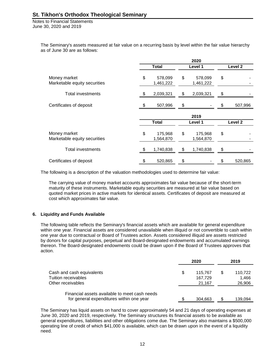> The Seminary's assets measured at fair value on a recurring basis by level within the fair value hierarchy as of June 30 are as follows:

|                                              |                            |    | 2020                 |    |                    |
|----------------------------------------------|----------------------------|----|----------------------|----|--------------------|
|                                              | <b>Total</b>               |    | Level 1              |    | Level <sub>2</sub> |
| Money market<br>Marketable equity securities | \$<br>578,099<br>1,461,222 | \$ | 578,099<br>1,461,222 | \$ |                    |
| <b>Total investments</b>                     | 2,039,321                  | S  | 2,039,321            | \$ |                    |
| Certificates of deposit                      | 507,996                    | \$ |                      |    | 507,996            |
|                                              |                            |    | 2019                 |    |                    |
|                                              | <b>Total</b>               |    | Level 1              |    | Level <sub>2</sub> |
| Money market<br>Marketable equity securities | \$<br>175,968<br>1,564,870 | \$ | 175,968<br>1,564,870 | \$ |                    |
| <b>Total investments</b>                     | 1,740,838                  | \$ | 1,740,838            |    |                    |
| Certificates of deposit                      | \$<br>520,865              | \$ |                      | S  | 520,865            |

The following is a description of the valuation methodologies used to determine fair value:

The carrying value of money market accounts approximates fair value because of the short-term maturity of these instruments. Marketable equity securities are measured at fair value based on quoted market prices in active markets for identical assets. Certificates of deposit are measured at cost which approximates fair value.

#### **6. Liquidity and Funds Available**

The following table reflects the Seminary's financial assets which are available for general expenditure within one year. Financial assets are considered unavailable when illiquid or not convertible to cash within one year due to contractual or Board of Trustees action. Assets considered illiquid are assets restricted by donors for capital purposes, perpetual and Board-designated endowments and accumulated earnings thereon. The Board-designated endowments could be drawn upon if the Board of Trustees approves that action.

|                                                                                           | 2020 |                              | 2019 |                            |  |
|-------------------------------------------------------------------------------------------|------|------------------------------|------|----------------------------|--|
| Cash and cash equivalents<br><b>Tuition receivables</b><br>Other receivables              |      | 115.767<br>167,729<br>21.167 |      | 110,722<br>1.466<br>26,906 |  |
| Financial assets available to meet cash needs<br>for general expenditures within one year | \$.  | 304.663                      | £.   | 139.094                    |  |

The Seminary has liquid assets on hand to cover approximately 54 and 21 days of operating expenses at June 30, 2020 and 2019, respectively. The Seminary structures its financial assets to be available as general expenditures, liabilities and other obligations come due. The Seminary also maintains a \$500,000 operating line of credit of which \$41,000 is available, which can be drawn upon in the event of a liquidity need.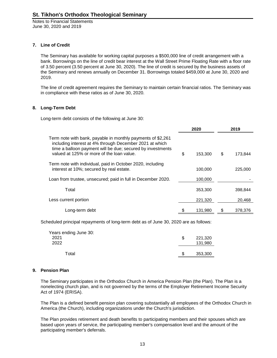#### **7. Line of Credit**

The Seminary has available for working capital purposes a \$500,000 line of credit arrangement with a bank. Borrowings on the line of credit bear interest at the Wall Street Prime Floating Rate with a floor rate of 3.50 percent (3.50 percent at June 30, 2020). The line of credit is secured by the business assets of the Seminary and renews annually on December 31. Borrowings totaled \$459,000 at June 30, 2020 and 2019.

The line of credit agreement requires the Seminary to maintain certain financial ratios. The Seminary was in compliance with these ratios as of June 30, 2020.

#### **8. Long-Term Debt**

Long-term debt consists of the following at June 30:

|                                                                                                                                                                                                                                   | 2020          | 2019          |
|-----------------------------------------------------------------------------------------------------------------------------------------------------------------------------------------------------------------------------------|---------------|---------------|
| Term note with bank, payable in monthly payments of \$2,261<br>including interest at 4% through December 2021 at which<br>time a balloon payment will be due; secured by investments<br>valued at 125% or more of the loan value. | \$<br>153,300 | \$<br>173,844 |
| Term note with individual, paid in October 2020, including<br>interest at 10%; secured by real estate.                                                                                                                            | 100.000       | 225,000       |
| Loan from trustee, unsecured; paid in full in December 2020.                                                                                                                                                                      | 100.000       |               |
| Total                                                                                                                                                                                                                             | 353,300       | 398,844       |
| Less current portion                                                                                                                                                                                                              | 221,320       | 20,468        |
| Long-term debt                                                                                                                                                                                                                    | 131.980       | \$<br>378.376 |

Scheduled principal repayments of long-term debt as of June 30, 2020 are as follows:

| Years ending June 30: |     |         |
|-----------------------|-----|---------|
| 2021                  | \$. | 221,320 |
| 2022                  |     | 131,980 |
|                       |     |         |
| Total                 | S   | 353,300 |
|                       |     |         |

#### **9. Pension Plan**

The Seminary participates in the Orthodox Church in America Pension Plan (the Plan). The Plan is a nonelecting church plan, and is not governed by the terms of the Employer Retirement Income Security Act of 1974 (ERISA).

The Plan is a defined benefit pension plan covering substantially all employees of the Orthodox Church in America (the Church), including organizations under the Church's jurisdiction.

The Plan provides retirement and death benefits to participating members and their spouses which are based upon years of service, the participating member's compensation level and the amount of the participating member's deferrals.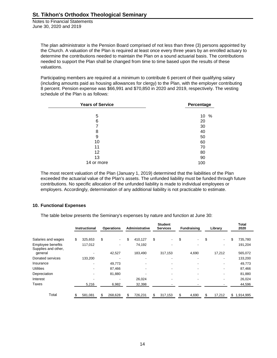> The plan administrator is the Pension Board comprised of not less than three (3) persons appointed by the Church. A valuation of the Plan is required at least once every three years by an enrolled actuary to determine the contributions needed to maintain the Plan on a sound actuarial basis. The contributions needed to support the Plan shall be changed from time to time based upon the results of these valuations.

Participating members are required at a minimum to contribute 6 percent of their qualifying salary (including amounts paid as housing allowances for clergy) to the Plan, with the employer contributing 8 percent. Pension expense was \$66,991 and \$70,850 in 2020 and 2019, respectively. The vesting schedule of the Plan is as follows:

| <b>Years of Service</b> | Percentage |
|-------------------------|------------|
|                         |            |
| 5                       | 10 %       |
| 6                       | 20         |
|                         | 30         |
| 8                       | 40         |
| 9                       | 50         |
| 10                      | 60         |
| 11                      | 70         |
| 12                      | 80         |
| 13                      | 90         |
| 14 or more              | 100        |

The most recent valuation of the Plan (January 1, 2019) determined that the liabilities of the Plan exceeded the actuarial value of the Plan's assets. The unfunded liability must be funded through future contributions. No specific allocation of the unfunded liability is made to individual employees or employers. Accordingly, determination of any additional liability is not practicable to estimate.

#### **10. Functional Expenses**

The table below presents the Seminary's expenses by nature and function at June 30:

|                                | Instructional |    | <b>Operations</b> | Administrative | <b>Student</b><br><b>Services</b> | <b>Fundraising</b> |    | Library                  |    | <b>Total</b><br>2020 |
|--------------------------------|---------------|----|-------------------|----------------|-----------------------------------|--------------------|----|--------------------------|----|----------------------|
| Salaries and wages             | \$<br>325,653 | \$ | ٠                 | \$<br>410,127  | \$                                | \$                 | \$ | $\overline{\phantom{a}}$ | \$ | 735,780              |
| Employee benefits              | 117,012       |    |                   | 74,192         |                                   |                    |    |                          |    | 191,204              |
| Supplies and other,<br>general |               |    | 42,527            | 183,490        | 317,153                           | 4,690              |    | 17,212                   |    | 565,072              |
| Donated services               | 133,200       |    |                   |                |                                   |                    |    |                          |    | 133,200              |
| Insurance                      |               |    | 49,773            | $\blacksquare$ | ۰.                                |                    |    |                          |    | 49,773               |
| <b>Utilities</b>               |               |    | 87,466            | ٠              |                                   |                    |    |                          |    | 87,466               |
| Depreciation                   |               |    | 81,880            |                |                                   |                    |    |                          |    | 81,880               |
| Interest                       |               |    |                   | 26,024         |                                   |                    |    |                          |    | 26,024               |
| <b>Taxes</b>                   | 5,216         |    | 6,982             | 32,398         |                                   |                    |    |                          |    | 44,596               |
| Total                          | 581,081       | S  | 268,628           | \$<br>726,231  | \$<br>317,153                     | \$<br>4,690        | S  | 17,212                   | S  | 1,914,995            |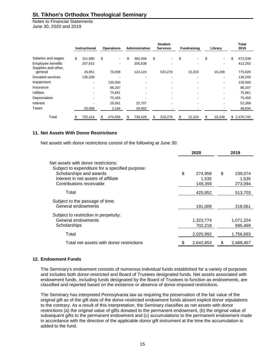Notes to Financial Statements June 30, 2020 and 2019

|                                          | <b>Instructional</b>     | <b>Operations</b> |                          | Administrative |                          |    | <b>Student</b><br><b>Services</b> | <b>Fundraising</b> |        | Library |                |    | <b>Total</b><br>2019 |  |
|------------------------------------------|--------------------------|-------------------|--------------------------|----------------|--------------------------|----|-----------------------------------|--------------------|--------|---------|----------------|----|----------------------|--|
| Salaries and wages                       | \$<br>311.680            | \$                | $\overline{\phantom{a}}$ | \$             | 360.358                  | \$ | $\overline{\phantom{a}}$          | \$                 |        | \$      | $\blacksquare$ | \$ | 672,038              |  |
| Employee benefits<br>Supplies and other, | 207,615                  |                   |                          |                | 205,638                  |    |                                   |                    |        |         |                |    | 413,253              |  |
| general                                  | 26,851                   |                   | 70.008                   |                | 124,124                  |    | 520,276                           |                    | 15.319 |         | 19.248         |    | 775,826              |  |
| Donated services                         | 136,200                  |                   |                          |                | $\overline{\phantom{0}}$ |    |                                   |                    |        |         |                |    | 136,200              |  |
| Impairment                               | $\overline{\phantom{a}}$ |                   | 135,000                  |                | $\blacksquare$           |    | ٠                                 |                    |        |         | ۰              |    | 135,000              |  |
| Insurance                                |                          |                   | 86,207                   |                | $\overline{\phantom{a}}$ |    |                                   |                    |        |         |                |    | 86,207               |  |
| <b>Utilities</b>                         |                          |                   | 75.661                   |                | $\overline{\phantom{a}}$ |    |                                   |                    | -      |         |                |    | 75,661               |  |
| Depreciation                             |                          |                   | 75,455                   |                |                          |    |                                   |                    |        |         |                |    | 75,455               |  |
| Interest                                 |                          |                   | 29,561                   |                | 22,707                   |    |                                   |                    |        |         |                |    | 52,268               |  |
| Taxes                                    | 20,068                   |                   | 2,164                    |                | 26,602                   |    |                                   |                    |        |         |                |    | 48,834               |  |
| Total                                    | 702,414                  |                   | 474,056                  | \$             | 739,429                  | S  | 520,276                           |                    | 15,319 |         | 19,248         | S  | 2,470,742            |  |

#### **11. Net Assets With Donor Restrictions**

Net assets with donor restrictions consist of the following at June 30:

|                                                                                                                                                                                      | 2020                              |    | 2019                        |  |
|--------------------------------------------------------------------------------------------------------------------------------------------------------------------------------------|-----------------------------------|----|-----------------------------|--|
| Net assets with donor restrictions:<br>Subject to expenditure for a specified purpose:<br>Scholarships and awards<br>Interest in net assets of affiliate<br>Contributions receivable | \$<br>274,958<br>1,535<br>149,359 | \$ | 239,074<br>1,535<br>273,094 |  |
| Total                                                                                                                                                                                | 425,852                           |    | 513,703                     |  |
| Subject to the passage of time:<br>General endowments                                                                                                                                | 191,009                           |    | 218,061                     |  |
| Subject to restriction in perpetuity:<br>General endowments<br>Scholarships                                                                                                          | 1,323,774<br>702,218              |    | 1,071,224<br>685.469        |  |
| Total                                                                                                                                                                                | 2,025,992                         |    | 1,756,693                   |  |
| Total net assets with donor restrictions                                                                                                                                             | \$<br>2.642.853                   | S  | 2,488,457                   |  |

#### **12. Endowment Funds**

The Seminary's endowment consists of numerous individual funds established for a variety of purposes and includes both donor-restricted and Board of Trustees designated funds. Net assets associated with endowment funds, including funds designated by the Board of Trustees to function as endowments, are classified and reported based on the existence or absence of donor-imposed restrictions.

The Seminary has interpreted Pennsylvania law as requiring the preservation of the fair value of the original gift as of the gift date of the donor-restricted endowment funds absent explicit donor stipulations to the contrary. As a result of this interpretation, the Seminary classifies as net assets with donor restrictions (a) the original value of gifts donated to the permanent endowment, (b) the original value of subsequent gifts to the permanent endowment and (c) accumulations to the permanent endowment made in accordance with the direction of the applicable donor gift instrument at the time the accumulation is added to the fund.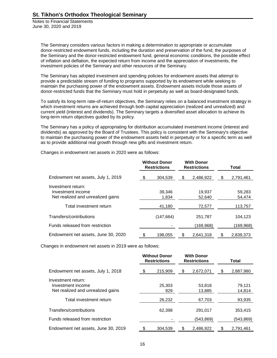> The Seminary considers various factors in making a determination to appropriate or accumulate donor-restricted endowment funds, including the duration and preservation of the fund, the purposes of the Seminary and the donor-restricted endowment fund, general economic conditions, the possible effect of inflation and deflation, the expected return from income and the appreciation of investments, the investment policies of the Seminary and other resources of the Seminary.

The Seminary has adopted investment and spending policies for endowment assets that attempt to provide a predictable stream of funding to programs supported by its endowment while seeking to maintain the purchasing power of the endowment assets. Endowment assets include those assets of donor-restricted funds that the Seminary must hold in perpetuity as well as board-designated funds.

To satisfy its long-term rate-of-return objectives, the Seminary relies on a balanced investment strategy in which investment returns are achieved through both capital appreciation (realized and unrealized) and current yield (interest and dividends). The Seminary targets a diversified asset allocation to achieve its long-term return objectives guided by its policy.

The Seminary has a policy of appropriating for distribution accumulated investment income (interest and dividends) as approved by the Board of Trustees. This policy is consistent with the Seminary's objective to maintain the purchasing power of the endowment assets held in perpetuity or for a specific term as well as to provide additional real growth through new gifts and investment return.

Changes in endowment net assets in 2020 were as follows:

|                                                        |    | <b>Without Donor</b><br><b>With Donor</b><br><b>Restrictions</b><br><b>Restrictions</b> |   |                  | Total |                  |  |
|--------------------------------------------------------|----|-----------------------------------------------------------------------------------------|---|------------------|-------|------------------|--|
| Endowment net assets, July 1, 2019                     | \$ | 304,539                                                                                 | S | 2,486,922        | S     | 2,791,461        |  |
| Investment return:                                     |    | 39.346                                                                                  |   |                  |       |                  |  |
| Investment income<br>Net realized and unrealized gains |    | 1,834                                                                                   |   | 19.937<br>52,640 |       | 59,283<br>54,474 |  |
| Total investment return                                |    | 41,180                                                                                  |   | 72,577           |       | 113,757          |  |
| Transfers/contributions                                |    | (147, 664)                                                                              |   | 251,787          |       | 104,123          |  |
| Funds released from restriction                        |    |                                                                                         |   | (169,968)        |       | (169.968)        |  |
| Endowment net assets, June 30, 2020                    | \$ | 198.055                                                                                 |   | 2.641.318        |       | 2,839,373        |  |

Changes in endowment net assets in 2019 were as follows:

|                                         | <b>Without Donor</b><br><b>Restrictions</b> |         |   | <b>With Donor</b><br><b>Restrictions</b> |     | Total      |  |
|-----------------------------------------|---------------------------------------------|---------|---|------------------------------------------|-----|------------|--|
| Endowment net assets, July 1, 2018      | S                                           | 215.909 | S | 2,672,071                                | \$. | 2,887,980  |  |
| Investment return:<br>Investment income |                                             | 25.303  |   | 53.818                                   |     | 79.121     |  |
| Net realized and unrealized gains       |                                             | 929     |   | 13,885                                   |     | 14,814     |  |
| Total investment return                 |                                             | 26,232  |   | 67,703                                   |     | 93,935     |  |
| Transfers/contributions                 |                                             | 62,398  |   | 291.017                                  |     | 353.415    |  |
| Funds released from restriction         |                                             |         |   | (543,869)                                |     | (543, 869) |  |
| Endowment net assets, June 30, 2019     |                                             | 304,539 |   | 2,486,922                                |     | 2,791,461  |  |